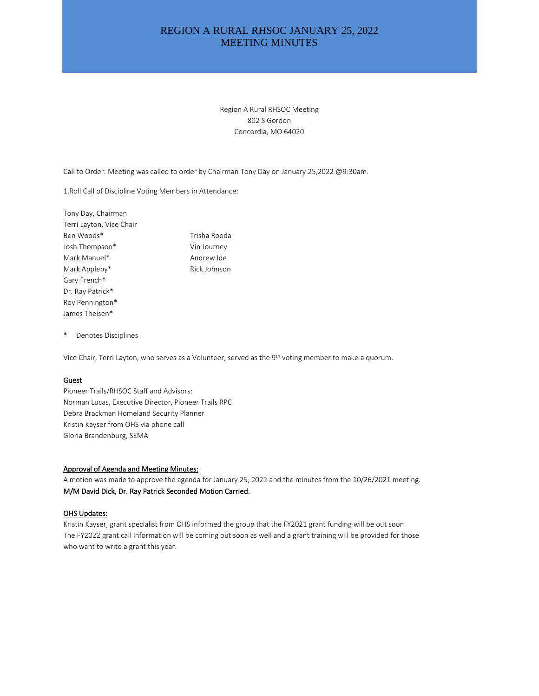# REGION A RURAL RHSOC JANUARY 25, 2022 MEETING MINUTES

Region A Rural RHSOC Meeting 802 S Gordon Concordia, MO 64020

Call to Order: Meeting was called to order by Chairman Tony Day on January 25,2022 @9:30am.

1.Roll Call of Discipline Voting Members in Attendance:

Tony Day, Chairman Terri Layton, Vice Chair Ben Woods\* Trisha Rooda Josh Thompson\* Vin Journey Mark Manuel\* Mark Manuel Andrew Ide Mark Appleby\* Rick Johnson Gary French\* Dr. Ray Patrick\* Roy Pennington\* James Theisen\*

\* Denotes Disciplines

Vice Chair, Terri Layton, who serves as a Volunteer, served as the 9<sup>th</sup> voting member to make a quorum.

#### Guest

Pioneer Trails/RHSOC Staff and Advisors: Norman Lucas, Executive Director, Pioneer Trails RPC Debra Brackman Homeland Security Planner Kristin Kayser from OHS via phone call Gloria Brandenburg, SEMA

### Approval of Agenda and Meeting Minutes:

A motion was made to approve the agenda for January 25, 2022 and the minutes from the 10/26/2021 meeting. M/M David Dick, Dr. Ray Patrick Seconded Motion Carried.

### **OHS Updates:**

Kristin Kayser, grant specialist from OHS informed the group that the FY2021 grant funding will be out soon. The FY2022 grant call information will be coming out soon as well and a grant training will be provided for those who want to write a grant this year.